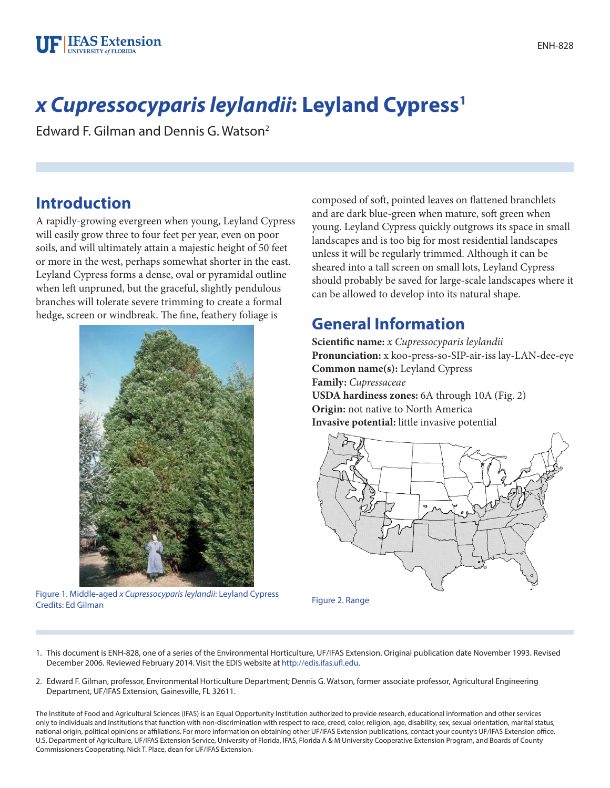# *x Cupressocyparis leylandii***: Leyland Cypress1**

Edward F. Gilman and Dennis G. Watson2

# **Introduction**

A rapidly-growing evergreen when young, Leyland Cypress will easily grow three to four feet per year, even on poor soils, and will ultimately attain a majestic height of 50 feet or more in the west, perhaps somewhat shorter in the east. Leyland Cypress forms a dense, oval or pyramidal outline when left unpruned, but the graceful, slightly pendulous branches will tolerate severe trimming to create a formal hedge, screen or windbreak. The fine, feathery foliage is



Figure 1. Middle-aged *x Cupressocyparis leylandii*: Leyland Cypress Credits: Ed Gilman Figure 2. Range

composed of soft, pointed leaves on flattened branchlets and are dark blue-green when mature, soft green when young. Leyland Cypress quickly outgrows its space in small landscapes and is too big for most residential landscapes unless it will be regularly trimmed. Although it can be sheared into a tall screen on small lots, Leyland Cypress should probably be saved for large-scale landscapes where it can be allowed to develop into its natural shape.

# **General Information**

**Scientific name:** *x Cupressocyparis leylandii* **Pronunciation:** x koo-press-so-SIP-air-iss lay-LAN-dee-eye **Common name(s):** Leyland Cypress **Family:** *Cupressaceae* **USDA hardiness zones:** 6A through 10A (Fig. 2) **Origin:** not native to North America **Invasive potential:** little invasive potential



- 1. This document is ENH-828, one of a series of the Environmental Horticulture, UF/IFAS Extension. Original publication date November 1993. Revised December 2006. Reviewed February 2014. Visit the EDIS website at [http://edis.ifas.ufl.edu.](http://edis.ifas.ufl.edu)
- 2. Edward F. Gilman, professor, Environmental Horticulture Department; Dennis G. Watson, former associate professor, Agricultural Engineering Department, UF/IFAS Extension, Gainesville, FL 32611.

The Institute of Food and Agricultural Sciences (IFAS) is an Equal Opportunity Institution authorized to provide research, educational information and other services only to individuals and institutions that function with non-discrimination with respect to race, creed, color, religion, age, disability, sex, sexual orientation, marital status, national origin, political opinions or affiliations. For more information on obtaining other UF/IFAS Extension publications, contact your county's UF/IFAS Extension office. U.S. Department of Agriculture, UF/IFAS Extension Service, University of Florida, IFAS, Florida A & M University Cooperative Extension Program, and Boards of County Commissioners Cooperating. Nick T. Place, dean for UF/IFAS Extension.